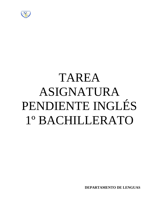

# TAREA ASIGNATURA PENDIENTE INGLÉS 1º BACHILLERATO

**DEPARTAMENTO DE LENGUAS**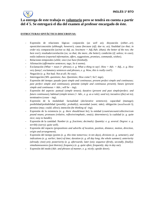

# **La entrega de este trabajo es voluntario pero se tendrá en cuenta a partir del 4´5. Se entregará el día del examen al profesor encargado de éste.**

## **ESTRUCTURAS SINTÁCTICO-DISCURSIVAS:**

- Expresión de relaciones lógicas: conjunción (*as well as*); disyunción (*either...or*); oposición/concesión (*although; however*); causa (*because (of); due to; as*); finalidad (*so that; in order to*); comparación (*as/not so Adj. as; less/more + Adj./Adv. (than); the better of the two; the best ever*); resultado/correlación (*so; so that; the more...the better*); condición (*if; unless; in case*); estilo indirecto (*reported information, offers, suggestions, promises, commands, wishes*).
- Relaciones temporales (*while; once (we have finished)*).
- Afirmación (*affirmative sentences; tags; So it seems*).
- Exclamación (*What + noun (+ phrase), e. g. What a thing to say!; How + Adv. + Adj., e. g. How very funny!; exclamatory sentences and phrases, e. g. Wow, this is really cool!*).
- Negación (*e. g. Not bad; Not at all; No way*).
- Interrogación (*Wh- questions; Aux. Questions; How come?; So?; tags*).
- Expresión del tiempo: pasado (*past simple and continuous; present perfect simple and continuous; past perfect simple and continuous*); presente (*simple and continuous present*); futuro (*present simple and continuous + Adv.; will be – ing*).
- Expresión del aspecto: puntual (*simple tenses*); durativo (*present and past simple/perfect; and future continuous*); habitual (*simple tenses (+ Adv., e. g. as a rule); used to*); incoativo (*(be) set to*); terminativo (*cease – ing*).
- Expresión de la modalidad: factualidad (*declarative sentences*); capacidad (*manage*); posibilidad/probabilidad (*possibly; probably*); necesidad (*want; take*); obligación (*need/needn't*); permiso (*may; could; allow*); intención (*be thinking of –ing*).
- Expresión de la existencia (*e. g. there should/must be*); la entidad (*count/uncount/collective/com pound nouns; pronouns (relative, reflexive/emphatic, one(s); determiners*); la cualidad (*e. g. quite nice; easy to handle*).
- Expresión de la cantidad: *Number (e. g. fractions; decimals). Quantity: e. g. several. Degree: e. g. terribly (sorry); quite well*).
- Expresión del espacio (*prepositions and adverbs of location, position, distance, motion, direction, origin and arrangement*).
- Expresión del tiempo (*points (e. g. this time tomorrow; in ten days), divisions (e. g. semester), and indications (e. g. earlier; later) of time; duration (e. g. all day long; the whole summer); anteriority (already; (not) yet); posteriority (e. g. afterwards; later (on); sequence (firstly, secondly, finally); simultaneousness (just then/as); frequency (e. g. quite often; frequently; day in day out*).
- Expresión del modo (*Adv. and phrases of manner, e. g. nicely; upside down*).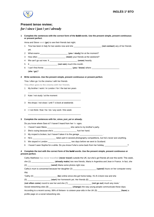

## **Present tense review;**

## *for* **/** *since* **/** *just* **/** *yet* **/** *already*

## **1 Complete the sentences with the correct form of the** bold **words. Use the present simple, present continuous or present perfect.**

Anna and Steve **went** (**go**) to see their friends last night.

- 1 Tina has been in Italy for two weeks now and she \_\_\_\_\_\_\_\_\_\_\_\_\_\_\_\_\_\_\_\_\_\_\_\_ (**not contact**) any of her friends yet.
- 2 What exams \_\_\_\_\_\_\_\_\_\_\_\_\_\_\_\_\_\_\_\_\_\_\_\_ (**you** / **study**) for at the moment?
- 3 How often \_\_\_\_\_\_\_\_\_\_\_\_\_\_\_\_\_\_\_\_\_\_\_\_ (**meet**) your friends at the weekend?
- 4 We can't go out now. It \_\_\_\_\_\_\_\_\_\_\_\_\_\_\_\_\_\_\_\_\_\_\_\_ (**snow**) heavily.
- 5 It \_\_\_\_\_\_\_\_\_\_\_\_\_\_\_\_\_\_\_\_\_\_\_\_ (**not rain**) much this month.
- 6 I can't find Annie. \_\_\_\_\_\_\_\_\_\_\_\_\_\_\_\_\_\_\_\_\_\_\_\_ (**you** / **know**) where \_\_\_\_\_\_\_\_\_\_\_\_\_\_\_\_\_\_\_\_\_\_\_\_ (**she** / **go**)?

#### **2 Write sentences. Use the present simple, present continuous or present perfect.**

Tina / often go / to the cinema / with her friends

**Tina often goes to the cinema with her friends.**

1 My brother / work / in London / for / the last ten years

\_\_\_\_\_\_\_\_\_\_\_\_\_\_\_\_\_\_\_\_\_\_\_\_\_\_\_\_\_\_\_\_\_\_\_\_\_\_\_\_\_\_\_\_\_\_

\_\_\_\_\_\_\_\_\_\_\_\_\_\_\_\_\_\_\_\_\_\_\_\_\_\_\_\_\_\_\_\_\_\_\_\_\_\_\_\_\_\_\_\_\_\_

\_\_\_\_\_\_\_\_\_\_\_\_\_\_\_\_\_\_\_\_\_\_\_\_\_\_\_\_\_\_\_\_\_\_\_\_\_\_\_\_\_\_\_\_\_\_

\_\_\_\_\_\_\_\_\_\_\_\_\_\_\_\_\_\_\_\_\_\_\_\_\_\_\_\_\_\_\_\_\_\_\_\_\_\_\_\_\_\_\_\_\_\_

- 2 Kate / not study / at the moment
- 3 the shops / not close / until 7 o'clock at weekends
- 4 I / not think / that / he / do / any work / this week

#### **3 Complete the sentences with** *for***,** *since***,** *just***,** *yet* **or** *already***.**

Do you know where Sara is? I haven't heard from her **for** ages.

- 1 I haven't seen Maria \_\_\_\_\_\_\_\_\_\_\_\_\_\_\_\_\_\_\_\_ she came to my brother's party.
- 2 She's crying because she's \_\_\_\_\_\_\_\_\_\_\_\_\_\_\_\_\_\_\_\_\_\_\_ hurt her hand.
- 3 My moped is broken, but I haven't taken it to the garage \_\_\_\_\_\_\_\_\_\_\_\_\_
- 4 He's \_\_\_\_\_\_\_\_\_\_\_\_\_\_\_\_\_\_\_\_ taken part in several photography competitions, but he's never won anything.
- 5 We stayed in London \_\_\_\_\_\_\_\_\_\_\_\_\_\_\_\_\_\_\_\_ two days before we went to Scotland.
- 6 I haven't seen Sophie for a while. Do you know if she's come back from her holiday \_\_\_\_\_\_\_\_\_\_\_\_\_\_\_\_\_\_\_\_?

## **4 Complete the text with the correct form of the** bold **words. Use the present simple, present continuous or present perfect.**

Cathy Matthews **has never travelled** (**never travel**) outside the UK, but she's got friends all over the world. This week,

she (1) \_\_\_\_\_\_\_\_\_\_\_\_\_\_\_\_\_\_\_\_ (**already make**) two new friends, Maria in Argentina and Jean in France. In fact, she (2) \_\_\_\_\_\_\_\_\_\_\_\_\_\_\_\_\_\_\_\_ (**send**) Maria some photos right now.

Cathy's mum is concerned because her daughter (3) \_\_\_\_\_\_\_\_\_\_\_\_\_\_\_\_\_\_\_\_ (**spend**) hours on her computer every day.

| 'Cathy (4) $\_$ |  |  |  | (be) online since she got home today. It's 8 o'clock now and she |  |  |
|-----------------|--|--|--|------------------------------------------------------------------|--|--|
|                 |  |  |  |                                                                  |  |  |
|                 |  |  |  |                                                                  |  |  |

(5) \_\_\_\_\_\_\_\_\_\_\_\_\_\_\_\_\_\_\_\_ (**start**) her homework yet. Her friends (6) \_\_\_\_\_\_\_\_\_\_\_\_\_\_\_\_\_\_\_\_

(**not often come**) round to see her and she (7) \_\_\_\_\_\_\_\_\_\_\_\_\_\_\_\_\_\_\_\_ (**not go out**) much any more.'

Social networking sites (8) \_\_\_\_\_\_\_\_\_\_\_\_\_\_\_\_\_\_\_\_\_\_\_ (change) the way young people communicate these days.

According to a recent survey, 88% of thirteen- to sixteen-year-olds in the UK (9) \_\_\_\_\_\_\_\_\_\_\_\_\_\_\_\_\_\_\_\_ (**have**) a profile page on a social networking site.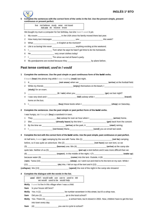

**5 Complete the sentences with the correct form of the verbs in the list. Use the present simple, present continuous or present perfect.**

> live not believe study wear not travel not use do receive know

We bought my mum a computer for her birthday, but she **hasn't used** it yet.

- 1 My cousin \_\_\_\_\_\_\_\_\_\_\_\_\_\_\_\_\_\_\_\_ in the USA since his family moved there last year.
- 2 How many text messages \_\_\_\_\_\_\_\_\_\_\_\_\_\_\_\_\_\_\_\_ you \_\_\_\_\_\_\_\_\_\_\_\_\_\_\_\_\_\_\_\_ this week?
- 3 What \_\_\_\_\_\_\_\_\_\_\_\_\_\_\_\_\_\_\_\_ in English at the moment?
- 4 Life is so boring! We never \_\_\_\_\_\_\_\_\_\_\_\_\_\_\_\_\_\_\_\_\_\_\_\_\_ anything exciting at the weekend.
- 5 I \_\_\_\_\_\_\_\_\_\_\_\_\_\_\_\_\_\_\_\_ Tom when he says he hasn't got time to do his homework.
- 6 He **business** very smart clothes today!
- 7 I \_\_\_\_\_\_\_\_\_\_\_\_\_\_\_\_\_\_\_\_ Tim since we met at Karen's party.
- 8 My grandparents are excited because they \_\_\_\_\_\_\_\_\_\_\_\_\_\_\_\_\_\_\_\_\_\_\_\_\_\_\_\_\_\_\_by plane before.

## **Past tense contrast;** *used to* **/** *would*

#### **1 Complete the sentences. Use the past simple or past continuous form of the** bold **verbs.**

I **heard** (**hear**) the phone ring while I **was reading** (**read**) last night.

- 1 It \_\_\_\_\_\_\_\_\_\_\_\_\_\_\_\_\_\_\_\_\_\_\_\_\_ (**not snow**) when we \_\_\_\_\_\_\_\_\_\_\_\_\_\_\_\_\_\_\_\_\_\_\_\_\_ (**arrive**) at the football field. 2 While my friends \_\_\_\_\_\_\_\_\_\_\_\_\_\_\_\_\_\_\_\_\_\_\_\_\_\_\_\_\_\_\_ (enjoy) themselves on the beach, I
- (**study**) for an exam.
- 3 \_\_\_\_\_\_\_\_\_\_\_\_\_\_\_\_\_\_\_\_\_\_\_\_\_ (**it** / **rain**) when you \_\_\_\_\_\_\_\_\_\_\_\_\_\_\_\_\_\_\_\_\_\_\_\_\_ (**go**) out last night? 4 I was very tired and I \_\_\_\_\_\_\_\_\_\_\_\_\_\_\_\_\_\_\_\_\_\_\_\_\_ (**fall**) asleep while I \_\_\_\_\_\_\_\_\_\_\_\_\_\_\_\_\_\_\_\_\_\_\_\_\_ (**travel**) home on the bus.
- 5 I \_\_\_\_\_\_\_\_\_\_\_\_\_\_\_\_\_\_\_\_\_\_\_\_\_ (**buy**) these boots when I \_\_\_\_\_\_\_\_\_\_\_\_\_\_\_\_\_\_\_\_\_\_\_\_\_ (**shop**) on Saturday.

#### **2 Complete the sentences. Use the past simple or past perfect form of the** bold **verbs.**

I was hungry, so I **bought** (**buy**) a sandwich in town.

- 1 They \_\_\_\_\_\_\_\_\_\_\_\_\_\_\_\_\_\_\_\_ (**be**) asleep for over an hour when I \_\_\_\_\_\_\_\_\_\_\_\_\_\_\_\_\_\_\_\_ (**arrive**) home.
- 2 She \_\_\_\_\_\_\_\_\_\_\_\_\_\_\_\_\_\_\_\_ (**already leave**) by the time I \_\_\_\_\_\_\_\_\_\_\_\_\_\_\_\_\_\_\_\_ (**get**) back from the concert.
- 3 By the time we \_\_\_\_\_\_\_\_\_\_\_\_\_\_\_\_\_\_\_\_ (**arrive**) at the park, it \_\_\_\_\_\_\_\_\_\_\_\_\_\_\_\_\_\_\_\_ (**start**) raining.
- 4 I \_\_\_\_\_\_\_\_\_\_\_\_\_\_\_\_\_\_\_\_ (**not know**) Maria \_\_\_\_\_\_\_\_\_\_\_\_\_\_\_\_\_\_\_\_ (**send**) you an email last week.

#### **3 Complete the text with the correct form of the** bold **verbs. Use the past simple, past continuous or past perfect.**

| At half term, I went (go) camping by the sea with Tania. We (1) __________________________(not be) camping |  |                                                                                                                     |  |  |  |
|------------------------------------------------------------------------------------------------------------|--|---------------------------------------------------------------------------------------------------------------------|--|--|--|
|                                                                                                            |  | before, so it was quite an adventure. We (2) __________________________(not have) our own tent, so we               |  |  |  |
|                                                                                                            |  | (3) _____________________________(borrow) one. We (4) _________________________(arrive) at the camp site            |  |  |  |
|                                                                                                            |  |                                                                                                                     |  |  |  |
|                                                                                                            |  |                                                                                                                     |  |  |  |
|                                                                                                            |  |                                                                                                                     |  |  |  |
|                                                                                                            |  | (rain). Tania (10) _____________________________(sleep), so I went out and tried to fix the tent on my own. While I |  |  |  |
|                                                                                                            |  |                                                                                                                     |  |  |  |
|                                                                                                            |  |                                                                                                                     |  |  |  |

(**collapse**). We (13) \_\_\_\_\_\_\_\_\_\_\_\_\_\_\_\_\_\_\_\_\_\_\_\_\_ (**spend**) the rest of the night in the camp site showers!

#### **4 Complete the dialogue with the words in the list.**

used didn't would walk use use to used to did we would used to be would help

**Molly** I **used** to live in this village when I was a child.

**Sam** Is your house still here?

**Molly** Yes. It (1) \_\_\_\_\_\_\_\_\_\_\_\_\_\_\_\_\_\_\_\_ be number seventeen in this street, but it's a shop now.

- **Sam** Did you (2) \_\_\_\_\_\_\_\_\_\_\_\_\_\_\_\_\_\_\_\_ go to the local school?
- **Molly** Yes. There (3) \_\_\_\_\_\_\_\_\_\_\_\_\_\_\_\_\_\_\_\_ a school here, but it closed in 2002. Now, children have to get the bus into town every day.
- **Sam** (4) \_\_\_\_\_\_\_\_\_\_\_\_\_\_\_\_\_\_\_\_ you use to cycle to school?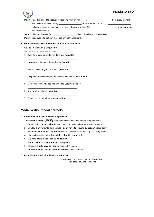

# **INGLÉS 1º BTO**

- **Molly** No, I didn't need to because it wasn't far from my house. I (5) \_\_\_\_\_\_\_\_\_\_\_\_\_\_\_\_\_\_\_\_ there every morning with my brother. My mum (6) \_\_\_\_\_\_\_\_\_\_\_\_\_\_\_\_\_\_\_\_ us to cross the road and (7) \_\_\_\_\_\_\_\_\_\_\_\_\_\_\_\_\_\_\_\_ walk down the street and across a field. In those days, there (8) \_\_\_\_\_\_\_\_\_\_\_\_\_\_\_\_\_\_\_\_ use to be many cars, so it was quite safe.
- **Sam** Did a lot of people (9) \_\_\_\_\_\_\_\_\_\_\_\_\_\_\_\_\_\_\_\_\_\_\_\_ to live in the village in those days?
- **Molly** Yes. Over 500, but now there are only 250 inhabitants.
- **5 Write sentences. Use the correct form of** *used to* **or** *would***.**

we / be / in the same class (**used to**)

**We used to be in the same class.**

1 Toby / not like / tennis, but he does now (**used to**)

\_\_\_\_\_\_\_\_\_\_\_\_\_\_\_\_\_\_\_\_\_\_\_\_\_\_\_\_\_\_\_\_\_\_\_\_\_\_\_\_\_\_\_

\_\_\_\_\_\_\_\_\_\_\_\_\_\_\_\_\_\_\_\_\_\_\_\_\_\_\_\_\_\_\_\_\_\_\_\_\_\_\_\_\_\_\_

\_\_\_\_\_\_\_\_\_\_\_\_\_\_\_\_\_\_\_\_\_\_\_\_\_\_\_\_\_\_\_\_\_\_\_\_\_\_\_\_\_\_\_

- 2 my parents / listen / to the radio a lot (**would**)
- 3 Elena / play / the guitar in a band (**used to**)
- 4 I / spend / every summer at the seaside when I was a kid (**would**)
- \_\_\_\_\_\_\_\_\_\_\_\_\_\_\_\_\_\_\_\_\_\_\_\_\_\_\_\_\_\_\_\_\_\_\_\_\_\_\_\_\_\_\_ 5 where / she / live / before she moved to Cardiff? (**used to**) \_\_\_\_\_\_\_\_\_\_\_\_\_\_\_\_\_\_\_\_\_\_\_\_\_\_\_\_\_\_\_\_\_\_\_\_\_\_\_\_\_\_\_

\_\_\_\_\_\_\_\_\_\_\_\_\_\_\_\_\_\_\_\_\_\_\_\_\_\_\_\_\_\_\_\_\_\_\_\_\_\_\_\_\_\_\_

\_\_\_\_\_\_\_\_\_\_\_\_\_\_\_\_\_\_\_\_\_\_\_\_\_\_\_\_\_\_\_\_\_\_\_\_\_\_\_\_\_\_\_

- 6 you / walk to school? (**used to**)
- 7 Rebecca / be / very happy here (**used to**)

# **Modal verbs; modal perfects**

#### **1 Circle the modal verb which is** *not* **possible.**

The test **must** / **may** / **should** have been difficult because nobody got good marks.

- 1 Peter **could** / **has to** / **should** study medicine because he's excellent at science.
- 2 Sunday is my favourite day because I **don't have to** / **mustn't** / **needn't** get up early.
- 3 Simon **may not** / **can't** / **mustn't** drive the car because he hasn't got a driving licence.
- 4 I haven't seen her today. She **might** / **should** / **could** be ill.
- 5 We were sitting at the back, so we **couldn't** /
- **weren't able to** / **might not** hear the speaker.
- 6 Students **must** / **have to** / **can** be quiet in the library.
- 7 I **didn't have to** / **mustn't** / **didn't need to** study last night.
- **2 Complete the email with the words in the list.**

can't have can must had to should have 'll be able couldn't shouldn't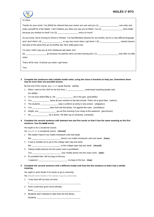# **INGLÉS 1º BTO**



Hi Clara,

| because you worked so hard! You (3) ____________________ worry so much! | Thanks for your email. You must be relieved that your exams are over and you (1) ________________ now relax and<br>enjoy yourself for a few weeks. I don't believe you when you say you've failed. You (2) _________________ done badly |  |
|-------------------------------------------------------------------------|-----------------------------------------------------------------------------------------------------------------------------------------------------------------------------------------------------------------------------------------|--|
|                                                                         | As you know, we're moving to China in October. I've had Mandarin lessons for six months, but it's a very difficult language                                                                                                             |  |
|                                                                         |                                                                                                                                                                                                                                         |  |
| last year at the same time as my brother did. He's really good now.     |                                                                                                                                                                                                                                         |  |
| I'm sorry I didn't see you at Jim's barbecue last week, but I           |                                                                                                                                                                                                                                         |  |
|                                                                         |                                                                                                                                                                                                                                         |  |
| sister.                                                                 |                                                                                                                                                                                                                                         |  |
| That's all for now. I'll phone you when I get home.                     |                                                                                                                                                                                                                                         |  |
| Tina                                                                    |                                                                                                                                                                                                                                         |  |
|                                                                         |                                                                                                                                                                                                                                         |  |

#### **3 Complete the sentences with suitable modal verbs, using the clues in brackets to help you. Sometimes there may be more than one possible answer.**

By the end of the course, you **could** speak fluently. (*ability*)

- 1 When I went to the USA for the first time, I can be reader stand anything people said. (*no ability*)
- 2 I'm not sure where Billy is. He \_\_\_\_\_\_\_\_\_\_\_\_\_\_\_ be in the gym. (*possibility*)
- 3 You \_\_\_\_\_\_\_\_\_\_\_\_\_\_\_ leave all your revision to the last minute. That's not a good idea. (*advice*)
- 4 The students \_\_\_\_\_\_\_\_\_\_\_\_\_\_\_ wear a uniform at Jenny's new school. (*obligation*)
- 5 You \_\_\_\_\_\_\_\_\_\_\_\_\_\_\_ take food into the library. It's against the rules. (*prohibition*)
- 6 Alright, you \_\_\_\_\_\_\_\_\_\_\_\_\_\_\_ go out this evening if you study at the weekend. (*permission*)
- 7 He \_\_\_\_\_\_\_\_\_\_\_\_\_\_\_ be a doctor. He didn't go to university. (*certainty*)
- **4 Complete the second sentence with between two and five words so that it has the same meaning as the first sentence. Use the** bold **words.**

He ought to do a vocational course.

He **should do** a vocational course. (**should**)

- 1 We needn't hand in our maths homework until next week.
- We \_\_\_\_\_\_\_\_\_\_\_\_\_\_\_\_\_\_\_\_\_\_\_\_\_ hand in our maths homework until next week. (**have**)
- 2 It was a mistake not to go to the college open day last week.

We \_\_\_\_\_\_\_\_\_\_\_\_\_\_\_\_\_\_\_\_\_\_\_\_\_ to the college open day last week. (**should**)

3 Taking mobile phones into the exam room is prohibited.

You \_\_\_\_\_\_\_\_\_\_\_\_\_\_\_\_\_\_\_\_\_\_\_\_\_ your mobile phone into the exam room. (**take**)

4 It's possible that I left my bag on the bus. I suppose I \_\_\_\_\_\_\_\_\_\_\_\_\_\_\_\_\_\_\_\_\_\_\_\_\_ my bag on the bus. (**may**)

#### **5 Complete the second sentence with a different modal verb from the first sentence so that it has a similar meaning.**

He ought to work harder if he wants to go to university.

He **should work harder if he wants to go to university.**

I \_\_\_\_\_\_\_\_\_\_\_\_\_\_\_\_\_\_\_\_\_\_\_\_\_\_\_\_\_\_\_\_\_\_\_\_\_\_\_\_\_\_\_\_\_

1 I may have left my keys at home.

2 Anne could have gone home already. Anne \_\_\_\_\_\_\_\_\_\_\_\_\_\_\_\_\_\_\_\_\_\_\_\_\_\_\_\_\_\_\_\_\_\_\_\_\_\_\_\_\_

3 Students aren't allowed to take food into the library. Students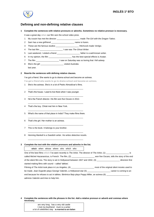

# **Defining and non-defining relative clauses**

#### **1 Complete the sentences with relative pronouns or adverbs. Sometimes no relative pronoun is necessary.**

- It was a great day **when** our film won the school video prize.
- 1 My cousin has met the director \_\_\_\_\_\_\_\_\_\_\_\_\_\_\_\_\_\_\_\_ made *The Girl with the Dragon Tattoo*.
- 2 Sam has a new girlfriend \_\_\_\_\_\_\_\_\_\_\_\_\_\_\_\_\_\_\_\_ name is Karen.
- 3 These are the famous studios \_\_\_\_\_\_\_\_\_\_\_\_\_\_\_\_\_\_\_\_ Hitchcock made *Vertigo*.
- 4 The last film \_\_\_\_\_\_\_\_\_\_\_\_\_\_\_\_\_\_\_\_ I saw was *The Ghost Writer*.
- 5 Last weekend, I visited a friend \_\_\_\_\_\_\_\_\_\_\_\_\_\_\_\_\_\_\_\_ father is a well-known writer.
- 6 In my opinion, the film \_\_\_\_\_\_\_\_\_\_\_\_\_\_\_\_\_\_\_\_ has the best special effects is *Avatar*.
- 7 The film \_\_\_\_\_\_\_\_\_\_\_\_\_\_\_\_\_\_\_\_ I saw on Saturday was so boring that I fell asleep.
- 8 She's the girl \_\_\_\_\_\_\_\_\_\_\_\_\_\_\_\_\_\_\_\_\_\_\_\_\_\_\_\_ visited Australia last year.

#### **2 Rewrite the sentences with defining relative clauses.**

I've got a friend. She wants to go to drama school and become an actress.

**I've got a friend who wants to go to drama school and become an actress.**

1 She's the actress. She's in a lot of Pedro Almodóvar's films. \_\_\_\_\_\_\_\_\_\_\_\_\_\_\_\_\_\_\_\_\_\_\_\_\_\_\_\_\_\_\_\_\_\_\_\_\_\_\_\_\_\_\_\_\_\_\_\_

\_\_\_\_\_\_\_\_\_\_\_\_\_\_\_\_\_\_\_\_\_\_\_\_\_\_\_\_\_\_\_\_\_\_\_\_\_\_\_\_\_\_\_\_\_\_\_\_

\_\_\_\_\_\_\_\_\_\_\_\_\_\_\_\_\_\_\_\_\_\_\_\_\_\_\_\_\_\_\_\_\_\_\_\_\_\_\_\_\_\_\_\_\_\_\_\_

- 2 That's the house. I used to live there when I was younger.
- 3 He's the French director. His film won five Oscars in 2012.
- 4 That's the boy. Chloë met him in New York.
- \_\_\_\_\_\_\_\_\_\_\_\_\_\_\_\_\_\_\_\_\_\_\_\_\_\_\_\_\_\_\_\_\_\_\_\_\_\_\_\_\_\_\_\_\_\_\_\_ 5 What's the name of that place in India? They make films there. \_\_\_\_\_\_\_\_\_\_\_\_\_\_\_\_\_\_\_\_\_\_\_\_\_\_\_\_\_\_\_\_\_\_\_\_\_\_\_\_\_\_\_\_\_\_\_\_
- 6 That's the girl. Her mother is an actress.
- 7 This is the book. It belongs to your brother.
- \_\_\_\_\_\_\_\_\_\_\_\_\_\_\_\_\_\_\_\_\_\_\_\_\_\_\_\_\_\_\_\_\_\_\_\_\_\_\_\_\_\_\_\_\_\_\_\_ 8 Henning Mankell is a Swedish writer. He writes detective novels. \_\_\_\_\_\_\_\_\_\_\_\_\_\_\_\_\_\_\_\_\_\_\_\_\_\_\_\_\_\_\_\_\_\_\_\_\_\_\_\_\_\_\_\_\_\_\_\_

\_\_\_\_\_\_\_\_\_\_\_\_\_\_\_\_\_\_\_\_\_\_\_\_\_\_\_\_\_\_\_\_\_\_\_\_\_\_\_\_\_\_\_\_\_\_\_\_

#### **3 Complete the text with the relative pronouns and adverbs in the list.**

| which when whose where who which who                                                                                      |  |
|---------------------------------------------------------------------------------------------------------------------------|--|
| One of the best films which I've seen recently is The Artist. The director of The Artist, (1)                             |  |
| called Michel Hazanavicius, is French. The film, (2) ________________________ won five Oscars, tells the story of the end |  |
| of the silent film era. The story is set in Hollywood between 1927 and 1932, (3) ________________________ directors first |  |
| started making films with sound – called 'talkies'.                                                                       |  |
| Filming of The Artist took place in Los Angeles, (4) most of the original silent movies used to                           |  |
| be made. Jean Dujardin plays George Valentin, a Hollywood star (5) ___________________________career is coming to an      |  |
| end because he refuses to act in talkies. Bérénice Bejo plays Peppy Miller, an actress (6)                                |  |
| admires Valentin and tries to help him.                                                                                   |  |

**4 Complete the sentences with the phrases in the list. Add a relative pronoun or adverb and commas where necessary.**

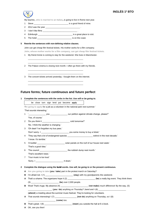

My teacher, **who is married to an Italian**, is going to live in Rome next year.

- 1 Steve \_\_\_\_\_\_\_\_\_\_\_\_\_\_\_\_\_\_\_\_\_\_\_\_\_\_\_\_\_\_ is a good friend of mine.
- 2 2012 was the year \_\_\_\_\_\_\_\_\_\_\_\_\_\_\_\_\_\_\_\_\_\_\_\_\_\_\_\_\_\_ .
- 3 I don't like films \_\_\_\_\_\_\_\_\_\_\_\_\_\_\_\_\_\_\_\_\_\_\_\_\_\_\_\_\_\_ .
- 4 Edinburgh \_\_\_\_\_\_\_\_\_\_\_\_\_\_\_\_\_\_\_\_\_\_\_\_\_\_\_\_\_\_ is a great place to visit.
- 5 The hotel \_\_\_\_\_\_\_\_\_\_\_\_\_\_\_\_\_\_\_\_\_\_\_\_\_\_\_\_\_\_ is on the coast.

\_\_\_\_\_\_\_\_\_\_\_\_\_\_\_\_\_\_\_\_\_\_\_\_\_\_\_\_\_\_\_\_\_\_\_\_\_\_\_\_\_\_\_\_\_\_\_\_ \_\_\_\_\_\_\_\_\_\_\_\_\_\_\_\_\_\_\_\_\_\_\_\_\_\_\_\_\_\_\_\_\_\_\_\_\_\_\_\_\_\_\_\_\_\_\_\_

\_\_\_\_\_\_\_\_\_\_\_\_\_\_\_\_\_\_\_\_\_\_\_\_\_\_\_\_\_\_\_\_\_\_\_\_\_\_\_\_\_\_\_\_\_\_\_\_

\_\_\_\_\_\_\_\_\_\_\_\_\_\_\_\_\_\_\_\_\_\_\_\_\_\_\_\_\_\_\_\_\_\_\_\_\_\_\_\_\_\_\_\_\_\_\_\_ \_\_\_\_\_\_\_\_\_\_\_\_\_\_\_\_\_\_\_\_\_\_\_\_\_\_\_\_\_\_\_\_\_\_\_\_\_\_\_\_\_\_\_\_\_\_\_\_

**5 Rewrite the sentences with non-defining relative clauses.**

John can get cheap film festival tickets. His mother works for a film company.

**John, whose mother works for a film company, can get cheap film festival tickets.**

1 My friend Annie is coming to stay for the weekend. She lives in Manchester.

2 The Palace cinema is closing next month. I often go there with my friends.

\_\_\_\_\_\_\_\_\_\_\_\_\_\_\_\_\_\_\_\_\_\_\_\_\_\_\_\_\_\_\_\_\_\_\_\_\_\_\_\_\_\_\_\_\_\_\_\_ 3 The concert tickets arrived yesterday. I bought them on the internet.

# **Future forms; future continuous and future perfect**

|                                    | be close turn sign lend put become apply                                                                     |
|------------------------------------|--------------------------------------------------------------------------------------------------------------|
|                                    | 'I'm going to apply for a job as a volunteer in the national park next summer.'                              |
|                                    | 'That sounds interesting.'                                                                                   |
| $\mathbf{1}$                       |                                                                                                              |
|                                    | 'Yes, of course.'                                                                                            |
| 2                                  | 'Do you think it ________________________________ cold tomorrow?'                                            |
|                                    | 'No. I think the weather is changing.'                                                                       |
| 3                                  | 'Oh dear! I've forgotten my bus pass.'                                                                       |
|                                    |                                                                                                              |
| 4                                  | 'They say that a lot of endangered species ________________________ extinct in the next decade.'             |
|                                    | 'I know. It's terrible.'                                                                                     |
| 5                                  | 'A builder _________________________________ solar panels on the roof of our house next week.'               |
|                                    | 'That's a good idea.'                                                                                        |
| 6                                  | 'The council _________________________________the rubbish dump next month.'                                  |
|                                    | 'That's excellent news.'                                                                                     |
|                                    |                                                                                                              |
|                                    | 'Your music is too loud.'                                                                                    |
|                                    |                                                                                                              |
|                                    |                                                                                                              |
|                                    | Complete the dialogue using the bold words. Use will, be going to or the present continuous.                 |
|                                    | A Are you going to take (you / take) part in the protest march on Saturday?                                  |
|                                    | I'm afraid not. I (1) _____________________________(stay) with my grandparents this weekend.                 |
|                                    | That's a shame. The organizers hope it (2) _______________________(be) a really big event. They think there  |
|                                    | (3) ____________________________ (be) over 2,000 people.                                                     |
|                                    | Wow! That's huge. My absence (4) _______________________________ (not make) much difference! By the way, (5) |
|                                    | (you / do) anything on Thursday? Jared and I (6) _______________________________                             |
|                                    | (attend) a meeting about the summer music festival. They're looking for volunteers.                          |
|                                    |                                                                                                              |
| $\overline{7}$<br>в<br>A<br>в<br>В | That's great. I (9) ____________________________(meet) you outside the hall at 6 o'clock.                    |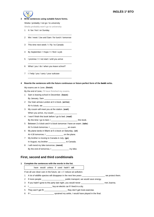

## **3 Write sentences using suitable future forms.**

Sheila / probably / not go / to university

**Sheila probably won't go to university**

- 1 It / be / hot / on Sunday
- \_\_\_\_\_\_\_\_\_\_\_\_\_\_\_\_\_\_\_\_\_\_\_\_\_\_\_\_\_\_\_\_\_\_\_\_\_\_ 2 We / meet / Joe and Sam / for lunch / tomorrow

\_\_\_\_\_\_\_\_\_\_\_\_\_\_\_\_\_\_\_\_\_\_\_\_\_\_\_\_\_\_\_\_\_\_\_\_\_\_

\_\_\_\_\_\_\_\_\_\_\_\_\_\_\_\_\_\_\_\_\_\_\_\_\_\_\_\_\_\_\_\_\_\_\_\_\_\_

\_\_\_\_\_\_\_\_\_\_\_\_\_\_\_\_\_\_\_\_\_\_\_\_\_\_\_\_\_\_\_\_\_\_\_\_\_\_

\_\_\_\_\_\_\_\_\_\_\_\_\_\_\_\_\_\_\_\_\_\_\_\_\_\_\_\_\_\_\_\_\_\_\_\_\_\_

\_\_\_\_\_\_\_\_\_\_\_\_\_\_\_\_\_\_\_\_\_\_\_\_\_\_\_\_\_\_\_\_\_\_\_\_\_\_

\_\_\_\_\_\_\_\_\_\_\_\_\_\_\_\_\_\_\_\_\_\_\_\_\_\_\_\_\_\_\_\_\_\_\_\_\_\_

- 3 This time next week / I / fly / to Canada
- 4 By September / I hope / I / find / a job
- 5 I promise / I / not start / until you arrive
- 6 What / you / do / when you leave school?
- 7 I / help / you / carry / your suitcase

#### **4 Rewrite the sentences with the future continuous or future perfect form of the** bold **verbs.**

My exams are in June. (**finish**)

By the end of June, **I'll have finished my exams**.

- 1 Sam is leaving school in December. (**leave**) By January, Sam
- 2 Our train arrives London at 4 o'clock. (**arrive**) At 4 o'clock, we  $\_\_$
- 3 My cousin will meet you at the station. (**wait**) When you arrive, my cousin
- 4 I won't finish this book before I go to bed. (**read**) By the time I go to bed, I \_\_\_\_\_\_\_\_\_\_\_\_\_\_\_\_\_\_\_\_\_\_\_\_\_\_\_\_\_\_\_ this book.
- 5 Between 2 o'clock and 4 o'clock tomorrow I have an exam. (**take**) At 3 o'clock tomorrow, I \_\_\_\_\_\_\_\_\_\_\_\_\_\_\_\_\_\_\_\_\_ an exam.
- 6 My plane lands in Miami at 5 o'clock on Saturday. (**sit**) At 4.30 tomorrow, I
- 7 My brother is moving to Canada in July. (**go**) In August, my brother \_\_\_\_\_\_\_\_\_\_\_\_\_\_\_ to Canada.
- 8 I will mend my bike tomorrow. (**mend**) By the end of tomorrow, I \_\_\_\_\_\_\_\_\_\_\_\_\_\_\_\_\_ my bike.

# **First, second and third conditionals**

|  |  | 1 Complete the sentences with the words in the list. |  |  |  |  |
|--|--|------------------------------------------------------|--|--|--|--|
|--|--|------------------------------------------------------|--|--|--|--|

|                                                                       | have would unless if used hadn't will |  |  |
|-----------------------------------------------------------------------|---------------------------------------|--|--|
| If we all use clean cars in the future, we will reduce air pollution. |                                       |  |  |

1 A lot of wildlife species will disappear in the next few years \_\_\_\_\_\_\_\_\_\_\_\_\_\_\_\_\_\_\_\_ we protect them.

- 2 If more people \_\_\_\_\_\_\_\_\_\_\_\_\_\_\_\_\_\_\_\_\_\_\_\_\_\_ public transport, we would save energy.
- 3 If you hadn't gone to the party last night, you would never \_\_\_\_\_\_\_\_\_\_\_\_\_\_\_\_\_\_\_\_ met Joanna.
- 4 I \_\_\_\_\_\_\_\_\_\_\_\_\_\_\_\_\_\_\_\_\_\_\_\_\_ buy an electric car if I lived in a city.
- 5 They won't get fit \_\_\_\_\_\_\_\_\_\_\_\_\_\_\_\_\_\_\_\_ they don't get more exercise.
- 6 If I \_\_\_\_\_\_\_\_\_\_\_\_\_\_\_\_\_\_\_\_ sprained my ankle, I would have played in the final.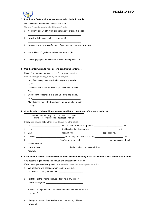

## **2 Rewrite the first conditional sentences using the** bold **words.**

## We won't need an umbrella unless it rains. (**if**)

**We won't need an umbrella if it doesn't rain.**

1 You won't lose weight if you don't change your diet. (**unless**) \_\_\_\_\_\_\_\_\_\_\_\_\_\_\_\_\_\_\_\_\_\_\_\_\_\_\_\_\_\_\_\_\_\_\_\_\_\_\_\_\_\_\_\_\_\_

\_\_\_\_\_\_\_\_\_\_\_\_\_\_\_\_\_\_\_\_\_\_\_\_\_\_\_\_\_\_\_\_\_\_\_\_\_\_\_\_\_\_\_\_\_\_

\_\_\_\_\_\_\_\_\_\_\_\_\_\_\_\_\_\_\_\_\_\_\_\_\_\_\_\_\_\_\_\_\_\_\_\_\_\_\_\_\_\_\_\_\_\_

\_\_\_\_\_\_\_\_\_\_\_\_\_\_\_\_\_\_\_\_\_\_\_\_\_\_\_\_\_\_\_\_\_\_\_\_\_\_\_\_\_\_\_\_\_\_

\_\_\_\_\_\_\_\_\_\_\_\_\_\_\_\_\_\_\_\_\_\_\_\_\_\_\_\_\_\_\_\_\_\_\_\_\_\_\_\_\_\_\_\_\_\_

- 2 I won't walk to school unless I have to. (**if**)
- 3 You won't have anything for lunch if you don't go shopping. (**unless**)
- 4 Her ankle won't get better unless she rests it. (**if**)
- 5 I won't go jogging today unless the weather improves. (**if**)

#### **3 Use the information to write second conditional sentences.**

I haven't got enough money, so I can't buy a new bicycle.

If I **had enough money, I'd buy a new bicycle.**

- 1 Kelly feels lonely because she hasn't got any friends. Kelly \_\_\_\_\_\_\_\_\_\_\_\_\_\_\_\_\_\_\_\_\_\_\_\_\_\_\_\_\_\_\_\_\_\_\_\_\_\_\_\_\_
- 2 Dave eats a lot of sweets. He has problems with his teeth. Dave
- 3 Sue doesn't concentrate in class. She gets bad marks. Sue \_\_\_\_\_\_\_\_\_\_\_\_\_\_\_\_\_\_\_\_\_\_\_\_\_\_\_\_\_\_\_\_\_\_\_\_\_\_\_\_\_\_
- 4 Mary finishes work late. She doesn't go out with her friends. If Mary
- **4 Complete the third conditional sentences with the correct form of the verbs in the list.**

not eat / not be play / win be / see win / train come / let know / send not break / not go

If they **had played** better, they **would have won** the game.

- 1 Pat \_\_\_\_\_\_\_\_\_\_\_\_\_\_\_\_\_\_\_\_\_\_\_\_\_ to the concert with us if her parents \_\_\_\_\_\_\_\_\_\_\_\_\_\_\_\_\_\_\_\_\_\_\_\_\_ her.
- 2 If we \_\_\_\_\_\_\_\_\_\_\_\_\_\_\_\_\_\_\_\_\_\_\_\_\_ that horrible fish, I'm sure we \_\_\_\_\_\_\_\_\_\_\_\_\_\_\_\_\_\_\_\_\_\_\_\_\_ sick.
- 3 Sam \_\_\_\_\_\_\_\_\_\_\_\_\_\_\_\_\_\_\_\_\_\_\_\_\_ his arm if he \_\_\_\_\_\_\_\_\_\_\_\_\_\_\_\_\_\_\_\_\_\_\_\_\_ rock climbing.
- 4 If Sarah \_\_\_\_\_\_\_\_\_\_\_\_\_\_\_\_\_\_\_\_\_\_\_\_\_ at the party last night, I'm sure I \_\_\_\_\_\_\_\_\_\_\_\_\_\_\_\_\_\_\_\_\_\_\_\_\_ her.
- 5 If I \_\_\_\_\_\_\_\_\_\_\_\_\_\_\_\_\_\_\_\_\_\_\_\_\_ Tom's new address, I \_\_\_\_\_\_\_\_\_\_\_\_\_\_\_\_\_\_\_\_\_\_\_\_\_ him a postcard when I was on holiday.
- 6 I'm sure they \_\_\_\_\_\_\_\_\_\_\_\_\_\_\_\_\_\_\_\_\_\_\_\_\_ the basketball competition if they \_\_\_\_\_\_\_\_\_\_\_\_\_\_\_\_\_\_\_\_\_\_\_\_\_ regularly.

## **5 Complete the second sentence so that it has a similar meaning to the first sentence. Use the third conditional.**

She became a golf champion because she practised every week.

\_\_\_\_\_\_\_\_\_\_\_\_\_\_\_\_\_\_\_\_\_\_\_\_\_\_\_\_\_\_\_\_\_\_\_\_\_\_\_\_\_\_\_\_\_\_\_\_

If she hadn't practised every week, she **wouldn't have become a golf champion.**

1 We got home late because we missed the last bus.

We wouldn't have got home late \_

- 2 I didn't go to the cinema because I didn't have any money. I would have gone
- 3 He didn't take part in the competition because he had hurt his arm. If he hadn't  $\_$

\_\_\_\_\_\_\_\_\_\_\_\_\_\_\_\_\_\_\_\_\_\_\_\_\_\_\_\_\_\_\_\_\_\_\_\_\_\_\_\_\_\_\_\_\_\_\_\_

\_\_\_\_\_\_\_\_\_\_\_\_\_\_\_\_\_\_\_\_\_\_\_\_\_\_\_\_\_\_\_\_\_\_\_\_\_\_\_\_\_\_\_\_\_\_\_\_

\_\_\_\_\_\_\_\_\_\_\_\_\_\_\_\_\_\_\_\_\_\_\_\_\_\_\_\_\_\_\_\_\_\_\_\_\_\_\_\_\_\_\_\_\_\_\_\_

4 I bought a new tennis racket because I had lost my old one. I wouldn't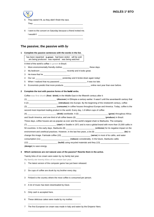

- They weren't fit, so they didn't finish the race. They  $\overline{\phantom{a}}$
- 6 I went to the concert on Saturday because a friend invited me.  $I$  wouldn't  $\_\_$

\_\_\_\_\_\_\_\_\_\_\_\_\_\_\_\_\_\_\_\_\_\_\_\_\_\_\_\_\_\_\_\_\_\_\_\_\_\_\_\_\_\_\_\_\_\_\_\_

\_\_\_\_\_\_\_\_\_\_\_\_\_\_\_\_\_\_\_\_\_\_\_\_\_\_\_\_\_\_\_\_\_\_\_\_\_\_\_\_\_\_\_\_\_\_\_\_

# **The passive; the passive with** *by*

## **1 Complete the passive sentences with the words in the list.**

has been repainted is grown had been stolen will be sold are being produced was repaired was being watched

A third of the world's coffee **is grown** in Brazil.

- 1 More environmentally friendly clothes \_\_\_\_\_\_\_\_\_\_\_\_\_\_\_\_\_\_\_\_\_\_\_\_\_\_\_\_\_\_these days.
- 2 My bedroom \_\_\_\_\_\_\_\_\_\_\_\_\_\_\_\_\_\_\_\_\_\_\_\_\_\_\_ recently and it looks great.
- 3 He knew that he \_\_\_\_\_\_\_\_\_\_\_\_\_\_\_\_\_\_\_\_\_\_\_ .
- 4 Our car \_\_\_\_\_\_\_\_\_\_\_\_\_\_\_\_\_\_\_\_\_\_\_ yesterday and it broke down again today!
- 5 When I realized that my password \_\_\_\_\_\_\_\_\_\_\_\_\_\_\_\_\_\_\_\_\_\_\_, it was too late.
- 6 Economists predict that more products \_\_\_\_\_\_\_\_\_\_\_\_\_\_\_\_\_\_\_\_\_\_\_ online next year than ever before.

## **2 Complete the text with passive forms of the** bold **verbs.**

Coffee **was first drunk** (**first** / **drink**) in the Middle East in the fifteenth century after it

- (1) \_\_\_\_\_\_\_\_\_\_\_\_\_\_\_\_\_\_\_\_\_\_\_\_\_ (**discover**) in Ethiopia a century earlier. It wasn't until the seventeenth century that
- it (2) \_\_\_\_\_\_\_\_\_\_\_\_\_\_\_\_\_\_\_\_\_\_\_\_\_ (**introduce**) into Europe. By the beginning of the nineteenth century, coffee (3) \_\_\_\_\_\_\_\_\_\_\_\_\_\_\_\_\_\_\_\_\_\_\_\_\_ (**consume**) in coffee houses throughout Europe and America. Today, coffee is the second most important trading product in the world. Every day, 1.6 billion cups of coffee (4) \_\_\_\_\_\_\_\_\_\_\_\_\_\_\_\_\_\_\_\_\_\_\_\_\_ (**drink**) worldwide. It (5) \_\_\_\_\_\_\_\_\_\_\_\_\_\_\_\_\_\_\_\_\_\_\_\_\_ (**grow**) throughout Africa and South America, and one third of all coffee beans (6) \_\_\_\_\_\_\_\_\_\_\_\_\_\_\_\_\_\_\_\_\_\_\_\_\_\_\_(**produce**) in Brazil. These days, coffee houses are as popular as ever and the world's largest chain is Starbucks. The company (7) \_\_\_\_\_\_\_\_\_\_\_\_\_\_\_\_\_\_\_\_\_\_\_\_\_ (**start**) in Seattle in 1971 and is now a global brand with more than 15,000 cafés in 50 countries. In the early days, Starbucks (8) \_\_\_\_\_\_\_\_\_\_\_\_\_\_\_\_\_\_\_\_\_\_\_\_\_ (**criticize**) for its negative impact on the environment and unethical practices. However, in the last few years, a lot (9) \_\_\_\_\_\_\_\_\_\_\_\_\_\_\_\_\_\_\_\_\_\_\_\_\_ (**do**) to change this image. Fairtrade coffee (10) \_\_\_\_\_\_\_\_\_\_\_\_\_\_\_\_\_\_\_\_\_\_\_\_\_ (**serve**) in most of its cafés, and water consumption (11) \_\_\_\_\_\_\_\_\_\_\_\_\_\_\_\_\_\_\_\_\_\_\_\_\_ (**reduce**) considerably. In the future, Starbucks cafés (12) \_\_\_\_\_\_\_\_\_\_\_\_\_\_\_\_\_\_\_\_\_\_\_\_\_ (**build**) using recycled materials and they (13) \_\_\_\_\_\_\_\_\_\_\_\_\_\_\_\_\_\_\_\_\_\_\_\_\_ (**design**) to save energy.

#### **3 Which sentences are** *not* **natural uses of the passive? Rewrite them in the active.**

Twenty kilos of ice cream were eaten by my family last year.

**My family ate twenty kilos of ice cream last year.**

1 The latest version of the computer game has just been released. \_\_\_\_\_\_\_\_\_\_\_\_\_\_\_\_\_\_\_\_\_\_\_\_\_\_\_\_\_\_\_\_\_\_\_\_\_\_\_\_\_\_\_\_\_\_

\_\_\_\_\_\_\_\_\_\_\_\_\_\_\_\_\_\_\_\_\_\_\_\_\_\_\_\_\_\_\_\_\_\_\_\_\_\_\_\_\_\_\_\_\_\_

\_\_\_\_\_\_\_\_\_\_\_\_\_\_\_\_\_\_\_\_\_\_\_\_\_\_\_\_\_\_\_\_\_\_\_\_\_\_\_\_\_\_\_\_\_\_

\_\_\_\_\_\_\_\_\_\_\_\_\_\_\_\_\_\_\_\_\_\_\_\_\_\_\_\_\_\_\_\_\_\_\_\_\_\_\_\_\_\_\_\_\_\_

\_\_\_\_\_\_\_\_\_\_\_\_\_\_\_\_\_\_\_\_\_\_\_\_\_\_\_\_\_\_\_\_\_\_\_\_\_\_\_\_\_\_\_\_\_\_

\_\_\_\_\_\_\_\_\_\_\_\_\_\_\_\_\_\_\_\_\_\_\_\_\_\_\_\_\_\_\_\_\_\_\_\_\_\_\_\_\_\_\_\_\_\_

\_\_\_\_\_\_\_\_\_\_\_\_\_\_\_\_\_\_\_\_\_\_\_\_\_\_\_\_\_\_\_\_\_\_\_\_\_\_\_\_\_\_\_\_\_\_

- 2 Six cups of coffee are drunk by my brother every day.
- 3 Finland is the country where the most coffee is consumed per person.
- 4 A lot of music has been downloaded by Dave.
- 5 Only cash is accepted here.
- 6 These delicious cakes were made by my mother.
- 7 The first European ice cream was made in Italy and eaten by the Emperor Nero.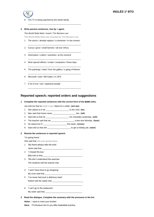

The TV is being watched by the whole family.

#### **4 Write passive sentences. Use** *by* **+ agent.**

The World Wide Web / invent / Tim Berners-Lee

**The World Wide Web was invented by Tim Berners-Lee.**

1 The actors / already replace / a stuntman / in two scenes

\_\_\_\_\_\_\_\_\_\_\_\_\_\_\_\_\_\_\_\_\_\_\_\_\_\_\_\_\_\_\_\_\_\_\_\_\_\_\_\_\_\_\_\_\_\_

\_\_\_\_\_\_\_\_\_\_\_\_\_\_\_\_\_\_\_\_\_\_\_\_\_\_\_\_\_\_\_\_\_\_\_\_\_\_\_\_\_\_\_\_\_\_

\_\_\_\_\_\_\_\_\_\_\_\_\_\_\_\_\_\_\_\_\_\_\_\_\_\_\_\_\_\_\_\_\_\_\_\_\_\_\_\_\_\_\_\_\_\_

 $\overline{\phantom{a}}$  , and the contract of the contract of the contract of the contract of the contract of the contract of the contract of the contract of the contract of the contract of the contract of the contract of the contrac

\_\_\_\_\_\_\_\_\_\_\_\_\_\_\_\_\_\_\_\_\_\_\_\_\_\_\_\_\_\_\_\_\_\_\_\_\_\_\_\_\_\_\_\_\_\_

\_\_\_\_\_\_\_\_\_\_\_\_\_\_\_\_\_\_\_\_\_\_\_\_\_\_\_\_\_\_\_\_\_\_\_\_\_\_\_\_\_\_\_\_\_\_

\_\_\_\_\_\_\_\_\_\_\_\_\_\_\_\_\_\_\_\_\_\_\_\_\_\_\_\_\_\_\_\_\_\_\_\_\_\_\_\_\_\_\_\_\_\_

\_\_\_\_\_\_\_\_\_\_\_\_\_\_\_\_\_\_\_\_\_\_\_\_\_\_\_\_\_\_\_\_\_\_\_\_\_\_\_\_\_\_\_\_\_\_

- 2 Cocoa / grow / small farmers / all over Africa
- 3 Information / collect / scientists / at the moment
- 4 Most special effects / create / computers / these days
- 5 The paintings / steal / from the gallery / a gang of thieves
- 6 Microsoft / start / Bill Gates / in 1975
- 7 A lot of rice / eat / Japanese people

## **Reported speech; reported orders and suggestions**

**1 Complete the reported sentences with the correct form of the** bold **verbs.**

Joe told me that he **hadn't seen** Maria for a while. (**not see**)

- 1 She asked us if we \_\_\_\_\_\_\_\_\_\_\_\_\_\_\_\_\_\_\_\_ to the USA. (**be**)
- 2 Max said that Karen never \_\_\_\_\_\_\_\_\_\_\_\_\_\_\_\_\_\_\_\_ lies. (**tell**)
- 3 Dad told us that he \_\_\_\_\_\_\_\_\_\_\_\_\_\_\_\_\_\_\_\_ his motorbike yesterday. (**sell**)
- 4 The teacher said that we \_\_\_\_\_\_\_\_\_\_\_\_\_\_\_\_\_\_\_\_ a test next Monday. (**have**)
- 5 He asked me if I \_\_\_\_\_\_\_\_\_\_\_\_\_\_\_\_\_\_\_\_ this week. (**revise**)
- 6 Sara told us that she \_\_\_\_\_\_\_\_\_\_\_\_\_\_\_\_\_\_\_\_ to get a holiday job. (**want**)

#### **2 Rewrite the sentences in reported speech.**

'I'm going home.'

She said that **she was going home**.

- 1 'My friend always tells the truth.'
- Janet said that
- 2 'I missed the bus.' Billy told us that
- 3 'We don't understand the exercise.' The students told the teacher that
- 4 'I won't have time to go shopping.' My mum said that  $\_$
- 5 'I've never had such a delicious meal.' Robert told the waiter that
- 6 'I can't go to the restaurant.' My sister said that
- **3 Read the dialogue. Complete the summary with the pronouns in the list.**

\_\_\_\_\_\_\_\_\_\_\_\_\_\_\_\_\_\_\_\_\_\_\_\_\_\_\_\_\_\_\_\_\_\_\_\_\_\_\_\_\_\_\_\_\_\_\_ .

\_\_\_\_\_\_\_\_\_\_\_\_\_\_\_\_\_\_\_\_\_\_\_\_\_\_\_\_\_\_\_\_\_\_\_\_\_\_\_\_\_\_\_\_\_\_\_ .

**Helen** I want to meet your brother.

**Dave** I'll introduce him to you after basketball practice.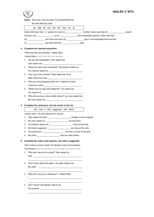

**Helen** Sara and I saw him play in the basketball final.

We both liked his style.

| her she his him she him they his he<br>Helen told Dave that she wanted to meet (1) _________________ brother. Dave said that (2) _________________ would<br>introduce (3) ________________ to (4) ___________________ after basketball practice. Helen said that<br>Complete the reported questions.<br>'What time are you leaving?' I asked Mary.<br>I asked Mary what time she was leaving.<br>'Do you like basketball?' John asked me.<br>'Have you done your homework?' the teacher asked us. |                                                                                                                                                                                                                                                                                                                                                                          |                                                                                                                                                                                                                                                                                                                                                                                                                                                                                                                                                                                                                                                    |
|---------------------------------------------------------------------------------------------------------------------------------------------------------------------------------------------------------------------------------------------------------------------------------------------------------------------------------------------------------------------------------------------------------------------------------------------------------------------------------------------------|--------------------------------------------------------------------------------------------------------------------------------------------------------------------------------------------------------------------------------------------------------------------------------------------------------------------------------------------------------------------------|----------------------------------------------------------------------------------------------------------------------------------------------------------------------------------------------------------------------------------------------------------------------------------------------------------------------------------------------------------------------------------------------------------------------------------------------------------------------------------------------------------------------------------------------------------------------------------------------------------------------------------------------------|
|                                                                                                                                                                                                                                                                                                                                                                                                                                                                                                   |                                                                                                                                                                                                                                                                                                                                                                          |                                                                                                                                                                                                                                                                                                                                                                                                                                                                                                                                                                                                                                                    |
|                                                                                                                                                                                                                                                                                                                                                                                                                                                                                                   |                                                                                                                                                                                                                                                                                                                                                                          |                                                                                                                                                                                                                                                                                                                                                                                                                                                                                                                                                                                                                                                    |
|                                                                                                                                                                                                                                                                                                                                                                                                                                                                                                   |                                                                                                                                                                                                                                                                                                                                                                          |                                                                                                                                                                                                                                                                                                                                                                                                                                                                                                                                                                                                                                                    |
|                                                                                                                                                                                                                                                                                                                                                                                                                                                                                                   |                                                                                                                                                                                                                                                                                                                                                                          |                                                                                                                                                                                                                                                                                                                                                                                                                                                                                                                                                                                                                                                    |
|                                                                                                                                                                                                                                                                                                                                                                                                                                                                                                   |                                                                                                                                                                                                                                                                                                                                                                          |                                                                                                                                                                                                                                                                                                                                                                                                                                                                                                                                                                                                                                                    |
|                                                                                                                                                                                                                                                                                                                                                                                                                                                                                                   |                                                                                                                                                                                                                                                                                                                                                                          |                                                                                                                                                                                                                                                                                                                                                                                                                                                                                                                                                                                                                                                    |
|                                                                                                                                                                                                                                                                                                                                                                                                                                                                                                   |                                                                                                                                                                                                                                                                                                                                                                          |                                                                                                                                                                                                                                                                                                                                                                                                                                                                                                                                                                                                                                                    |
|                                                                                                                                                                                                                                                                                                                                                                                                                                                                                                   |                                                                                                                                                                                                                                                                                                                                                                          |                                                                                                                                                                                                                                                                                                                                                                                                                                                                                                                                                                                                                                                    |
|                                                                                                                                                                                                                                                                                                                                                                                                                                                                                                   |                                                                                                                                                                                                                                                                                                                                                                          |                                                                                                                                                                                                                                                                                                                                                                                                                                                                                                                                                                                                                                                    |
|                                                                                                                                                                                                                                                                                                                                                                                                                                                                                                   |                                                                                                                                                                                                                                                                                                                                                                          |                                                                                                                                                                                                                                                                                                                                                                                                                                                                                                                                                                                                                                                    |
|                                                                                                                                                                                                                                                                                                                                                                                                                                                                                                   |                                                                                                                                                                                                                                                                                                                                                                          |                                                                                                                                                                                                                                                                                                                                                                                                                                                                                                                                                                                                                                                    |
|                                                                                                                                                                                                                                                                                                                                                                                                                                                                                                   |                                                                                                                                                                                                                                                                                                                                                                          |                                                                                                                                                                                                                                                                                                                                                                                                                                                                                                                                                                                                                                                    |
| 'Can I go to the concert?' Sally asked her mum.                                                                                                                                                                                                                                                                                                                                                                                                                                                   |                                                                                                                                                                                                                                                                                                                                                                          |                                                                                                                                                                                                                                                                                                                                                                                                                                                                                                                                                                                                                                                    |
|                                                                                                                                                                                                                                                                                                                                                                                                                                                                                                   |                                                                                                                                                                                                                                                                                                                                                                          |                                                                                                                                                                                                                                                                                                                                                                                                                                                                                                                                                                                                                                                    |
|                                                                                                                                                                                                                                                                                                                                                                                                                                                                                                   |                                                                                                                                                                                                                                                                                                                                                                          |                                                                                                                                                                                                                                                                                                                                                                                                                                                                                                                                                                                                                                                    |
|                                                                                                                                                                                                                                                                                                                                                                                                                                                                                                   |                                                                                                                                                                                                                                                                                                                                                                          |                                                                                                                                                                                                                                                                                                                                                                                                                                                                                                                                                                                                                                                    |
|                                                                                                                                                                                                                                                                                                                                                                                                                                                                                                   |                                                                                                                                                                                                                                                                                                                                                                          |                                                                                                                                                                                                                                                                                                                                                                                                                                                                                                                                                                                                                                                    |
|                                                                                                                                                                                                                                                                                                                                                                                                                                                                                                   |                                                                                                                                                                                                                                                                                                                                                                          |                                                                                                                                                                                                                                                                                                                                                                                                                                                                                                                                                                                                                                                    |
|                                                                                                                                                                                                                                                                                                                                                                                                                                                                                                   |                                                                                                                                                                                                                                                                                                                                                                          |                                                                                                                                                                                                                                                                                                                                                                                                                                                                                                                                                                                                                                                    |
|                                                                                                                                                                                                                                                                                                                                                                                                                                                                                                   |                                                                                                                                                                                                                                                                                                                                                                          |                                                                                                                                                                                                                                                                                                                                                                                                                                                                                                                                                                                                                                                    |
|                                                                                                                                                                                                                                                                                                                                                                                                                                                                                                   |                                                                                                                                                                                                                                                                                                                                                                          |                                                                                                                                                                                                                                                                                                                                                                                                                                                                                                                                                                                                                                                    |
|                                                                                                                                                                                                                                                                                                                                                                                                                                                                                                   |                                                                                                                                                                                                                                                                                                                                                                          |                                                                                                                                                                                                                                                                                                                                                                                                                                                                                                                                                                                                                                                    |
| why that if had suggested told where                                                                                                                                                                                                                                                                                                                                                                                                                                                              |                                                                                                                                                                                                                                                                                                                                                                          |                                                                                                                                                                                                                                                                                                                                                                                                                                                                                                                                                                                                                                                    |
|                                                                                                                                                                                                                                                                                                                                                                                                                                                                                                   |                                                                                                                                                                                                                                                                                                                                                                          |                                                                                                                                                                                                                                                                                                                                                                                                                                                                                                                                                                                                                                                    |
|                                                                                                                                                                                                                                                                                                                                                                                                                                                                                                   |                                                                                                                                                                                                                                                                                                                                                                          |                                                                                                                                                                                                                                                                                                                                                                                                                                                                                                                                                                                                                                                    |
|                                                                                                                                                                                                                                                                                                                                                                                                                                                                                                   |                                                                                                                                                                                                                                                                                                                                                                          |                                                                                                                                                                                                                                                                                                                                                                                                                                                                                                                                                                                                                                                    |
|                                                                                                                                                                                                                                                                                                                                                                                                                                                                                                   |                                                                                                                                                                                                                                                                                                                                                                          |                                                                                                                                                                                                                                                                                                                                                                                                                                                                                                                                                                                                                                                    |
|                                                                                                                                                                                                                                                                                                                                                                                                                                                                                                   |                                                                                                                                                                                                                                                                                                                                                                          |                                                                                                                                                                                                                                                                                                                                                                                                                                                                                                                                                                                                                                                    |
|                                                                                                                                                                                                                                                                                                                                                                                                                                                                                                   |                                                                                                                                                                                                                                                                                                                                                                          |                                                                                                                                                                                                                                                                                                                                                                                                                                                                                                                                                                                                                                                    |
|                                                                                                                                                                                                                                                                                                                                                                                                                                                                                                   |                                                                                                                                                                                                                                                                                                                                                                          |                                                                                                                                                                                                                                                                                                                                                                                                                                                                                                                                                                                                                                                    |
|                                                                                                                                                                                                                                                                                                                                                                                                                                                                                                   |                                                                                                                                                                                                                                                                                                                                                                          |                                                                                                                                                                                                                                                                                                                                                                                                                                                                                                                                                                                                                                                    |
|                                                                                                                                                                                                                                                                                                                                                                                                                                                                                                   |                                                                                                                                                                                                                                                                                                                                                                          |                                                                                                                                                                                                                                                                                                                                                                                                                                                                                                                                                                                                                                                    |
|                                                                                                                                                                                                                                                                                                                                                                                                                                                                                                   |                                                                                                                                                                                                                                                                                                                                                                          |                                                                                                                                                                                                                                                                                                                                                                                                                                                                                                                                                                                                                                                    |
|                                                                                                                                                                                                                                                                                                                                                                                                                                                                                                   |                                                                                                                                                                                                                                                                                                                                                                          |                                                                                                                                                                                                                                                                                                                                                                                                                                                                                                                                                                                                                                                    |
|                                                                                                                                                                                                                                                                                                                                                                                                                                                                                                   |                                                                                                                                                                                                                                                                                                                                                                          |                                                                                                                                                                                                                                                                                                                                                                                                                                                                                                                                                                                                                                                    |
|                                                                                                                                                                                                                                                                                                                                                                                                                                                                                                   |                                                                                                                                                                                                                                                                                                                                                                          |                                                                                                                                                                                                                                                                                                                                                                                                                                                                                                                                                                                                                                                    |
|                                                                                                                                                                                                                                                                                                                                                                                                                                                                                                   |                                                                                                                                                                                                                                                                                                                                                                          |                                                                                                                                                                                                                                                                                                                                                                                                                                                                                                                                                                                                                                                    |
|                                                                                                                                                                                                                                                                                                                                                                                                                                                                                                   |                                                                                                                                                                                                                                                                                                                                                                          |                                                                                                                                                                                                                                                                                                                                                                                                                                                                                                                                                                                                                                                    |
|                                                                                                                                                                                                                                                                                                                                                                                                                                                                                                   |                                                                                                                                                                                                                                                                                                                                                                          |                                                                                                                                                                                                                                                                                                                                                                                                                                                                                                                                                                                                                                                    |
|                                                                                                                                                                                                                                                                                                                                                                                                                                                                                                   |                                                                                                                                                                                                                                                                                                                                                                          |                                                                                                                                                                                                                                                                                                                                                                                                                                                                                                                                                                                                                                                    |
|                                                                                                                                                                                                                                                                                                                                                                                                                                                                                                   |                                                                                                                                                                                                                                                                                                                                                                          |                                                                                                                                                                                                                                                                                                                                                                                                                                                                                                                                                                                                                                                    |
|                                                                                                                                                                                                                                                                                                                                                                                                                                                                                                   |                                                                                                                                                                                                                                                                                                                                                                          |                                                                                                                                                                                                                                                                                                                                                                                                                                                                                                                                                                                                                                                    |
|                                                                                                                                                                                                                                                                                                                                                                                                                                                                                                   |                                                                                                                                                                                                                                                                                                                                                                          |                                                                                                                                                                                                                                                                                                                                                                                                                                                                                                                                                                                                                                                    |
| 'Don't shout!' the teacher said to me.                                                                                                                                                                                                                                                                                                                                                                                                                                                            |                                                                                                                                                                                                                                                                                                                                                                          |                                                                                                                                                                                                                                                                                                                                                                                                                                                                                                                                                                                                                                                    |
|                                                                                                                                                                                                                                                                                                                                                                                                                                                                                                   | 'Will you come shopping with me?' I asked my sister.<br>'Where did you stay last weekend?' Tim asked me.<br>Complete the sentences. Use the words in the list.<br>I asked Jack if he had enjoyed the concert.<br>'Why don't we go for a pizza?' Sam asked us.<br>'Don't worry about the exam,' my sister said to me.<br>'Why don't you buy a dictionary?' I asked Polly. | Sally asked her mum entitled and the same of the sales of the same of the same of the same of the same of the<br>'Why did you buy a new mobile phone?' my mum asked me.<br>Jane asked me why I _______________________ bought a new computer.<br>My mum asked us _______________________ we had been.<br>My friend suggested ______________________ we meet at the café.<br>The policeman _______________________________the boy to move his bicycle.<br>Complete the orders and requests. Use told or suggested.<br>'Don't make so much noise!' the librarian said to the students.<br>The librarian told the students not to make so much noise. |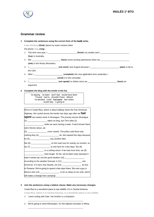

## **Grammar review**

#### **1 Complete the sentences using the correct form of the** bold **verbs.**

I **was thinking** (**think**) about my exam revision when

the phone **rang** (**ring**).

- 1 This time next year, I \_\_\_\_\_\_\_\_\_\_\_\_\_\_\_\_\_\_\_\_\_\_\_\_\_ (**finish**) my studies and I \_\_\_\_\_\_\_\_\_\_\_\_\_\_\_\_\_\_\_\_\_\_\_\_\_ (**live**) in Australia.
- 2 We \_\_\_\_\_\_\_\_\_\_\_\_\_\_\_\_\_\_\_\_\_\_\_\_\_ (**have**) some exciting adventures when we \_\_\_\_\_\_\_\_\_\_\_\_\_\_\_\_\_\_\_\_\_\_\_\_\_ (**trek**) in the Rocky Mountains.
- 3 I \_\_\_\_\_\_\_\_\_\_\_\_\_\_\_\_\_\_\_\_\_\_\_\_\_ (**not work**) next August because I \_\_\_\_\_\_\_\_\_\_\_\_\_\_\_\_\_\_\_\_\_\_\_\_\_ (**plan**) a trip to the USA.
- 4 After I \_\_\_\_\_\_\_\_\_\_\_\_\_\_\_\_\_\_\_\_\_\_\_\_\_ (**complete**) the visa application form yesterday, I
- \_\_\_\_\_\_\_\_\_\_\_\_\_\_\_\_\_\_\_\_\_\_\_\_\_ (**send**) it to the consulate.
- 5 I \_\_\_\_\_\_\_\_\_\_\_\_\_\_\_\_\_\_\_\_\_\_\_\_\_ (**not speak**) to Adrian since we \_\_\_\_\_\_\_\_\_\_\_\_\_\_\_\_\_\_\_\_\_\_\_\_\_ (**have**) an

argument.

#### **2 Complete the blog with the words in the list.**

're staying 've been won't last would have been 'll travel had to shouldn't have offered 've decided could had spent was stolen would stay 's going to

| We're in Costa Rica, which is about halfway down the Pan-American          |
|----------------------------------------------------------------------------|
| Highway. We cycled across the border two days ago after we <b>had</b>      |
| <b>Spent</b> two weeks stuck in Nicaragua. The journey across Nicaragua    |
| (1) ______________________taken so long, but Tim's bike (2)                |
| ______________________ while we were having a swim. If we'd known there    |
| were thieves about, we                                                     |
| (3) ______________________ more careful. The police said there was         |
| nothing they (4) ___________________ do. We wasted five days because       |
| he (5) _______________________ buy another bike.                           |
| We (6) ______________________ on the road now for exactly six months, so   |
| we $(7)$ _______________________ to rest here for a few days. We $(8)$     |
| _________________ in a surfing resort. If we had more time, we (9)         |
| here longer. So far, we've been lucky because it                           |
| hasn't rained yet, but the good weather $(10)$ __________________.         |
| According to the weather forecast, it (11) __________________________ rain |
| tomorrow. If it rains very heavily, we (12) ____________________ by bus    |
| to Panama. We're going to spend a few days there. We met a guy in          |
| Mexico who (13) ___________________ to let us sleep on his sofa, which     |
| will make a change from camping!                                           |

## **3 Join the sentences using a relative clause. Make any necessary changes.**

Costa Rica is a wonderful place to see wildlife. It's in Central America.

**Costa Rica, which is in Central America, is a wonderful place to see wildlife.**

1 I went surfing with Kate. Her brother is a champion.

\_\_\_\_\_\_\_\_\_\_\_\_\_\_\_\_\_\_\_\_\_\_\_\_\_\_\_\_\_\_\_\_\_\_\_\_\_\_\_\_\_\_\_\_\_\_\_\_ 2 We're going to climb Kilimanjaro. It's the highest mountain in Africa. \_\_\_\_\_\_\_\_\_\_\_\_\_\_\_\_\_\_\_\_\_\_\_\_\_\_\_\_\_\_\_\_\_\_\_\_\_\_\_\_\_\_\_\_\_\_\_\_